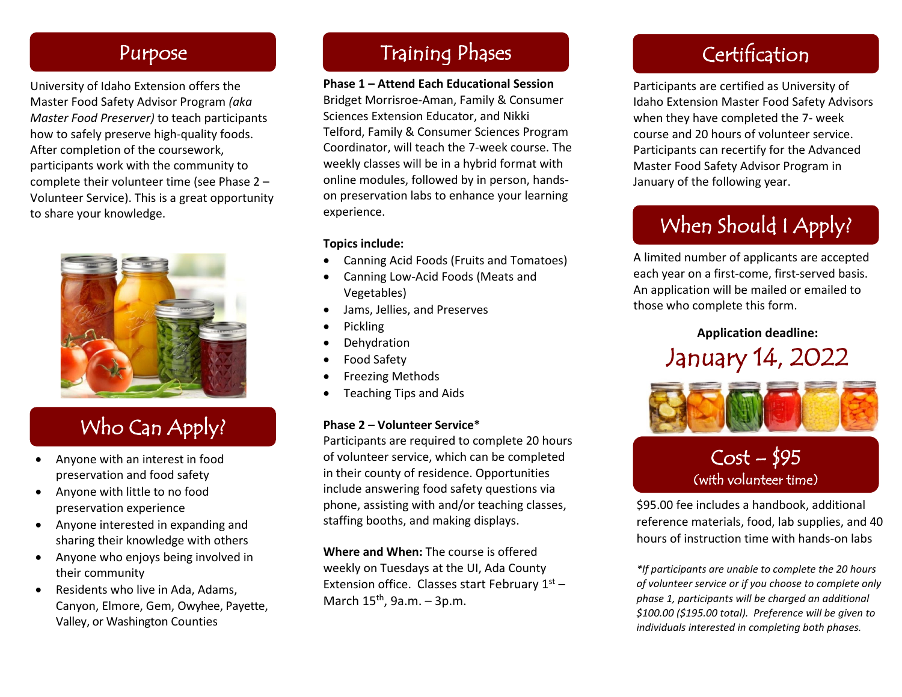### Purpose

University of Idaho Extension offers the Master Food Safety Advisor Program *(aka Master Food Preserver)* to teach participants how to safely preserve high-quality foods. After completion of the coursework, participants work with the community to complete their volunteer time (see Phase 2 – Volunteer Service). This is a great opportunity to share your knowledge.



# Who Can Apply?

- Anyone with an interest in food preservation and food safety
- Anyone with little to no food preservation experience
- Anyone interested in expanding and sharing their knowledge with others
- Anyone who enjoys being involved in their community
- Residents who live in Ada, Adams, Canyon, Elmore, Gem, Owyhee, Payette, Valley, or Washington Counties

### Training Phases **Certification**

### **Phase 1 – Attend Each Educational Session** Bridget Morrisroe-Aman, Family & Consumer Sciences Extension Educator, and Nikki Telford, Family & Consumer Sciences Program Coordinator, will teach the 7-week course. The weekly classes will be in a hybrid format with online modules, followed by in person, handson preservation labs to enhance your learning experience.

### **Topics include:**

- Canning Acid Foods (Fruits and Tomatoes)
- Canning Low-Acid Foods (Meats and Vegetables)
- Jams, Jellies, and Preserves
- Pickling
- **Dehydration**
- Food Safety
- Freezing Methods
- Teaching Tips and Aids

### **Phase 2 – Volunteer Service**\*

Participants are required to complete 20 hours of volunteer service, which can be completed in their county of residence. Opportunities include answering food safety questions via phone, assisting with and/or teaching classes, staffing booths, and making displays.

**Where and When:** The course is offered weekly on Tuesdays at the UI, Ada County Extension office. Classes start February  $1<sup>st</sup>$  – March  $15<sup>th</sup>$ , 9a.m. – 3p.m.

Participants are certified as University of Idaho Extension Master Food Safety Advisors when they have completed the 7- week course and 20 hours of volunteer service. Participants can recertify for the Advanced Master Food Safety Advisor Program in January of the following year.

# When Should I Apply?

A limited number of applicants are accepted each year on a first-come, first-served basis. An application will be mailed or emailed to those who complete this form.

### **Application deadline:** January 14, 2022



# $Cost - 195$ <br>(with volunteer time)

\$95.00 fee includes a handbook, additional reference materials, food, lab supplies, and 40 hours of instruction time with hands-on labs

*\*If participants are unable to complete the 20 hours of volunteer service or if you choose to complete only phase 1, participants will be charged an additional \$100.00 (\$195.00 total). Preference will be given to individuals interested in completing both phases.*